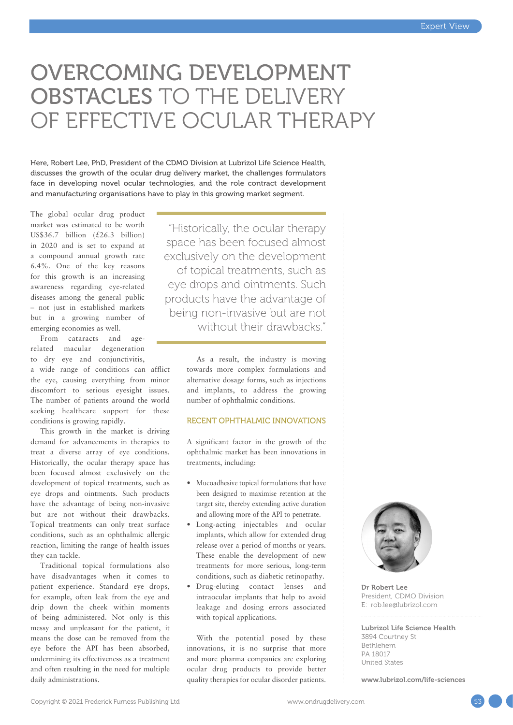## OVERCOMING DEVELOPMENT OBSTACLES TO THE DELIVERY OF EFFECTIVE OCULAR THERAPY

Here, Robert Lee, PhD, President of the CDMO Division at Lubrizol Life Science Health, discusses the growth of the ocular drug delivery market, the challenges formulators face in developing novel ocular technologies, and the role contract development and manufacturing organisations have to play in this growing market segment.

The global ocular drug product market was estimated to be worth US\$36.7 billion (£26.3 billion) in 2020 and is set to expand at a compound annual growth rate 6.4%. One of the key reasons for this growth is an increasing awareness regarding eye-related diseases among the general public – not just in established markets but in a growing number of emerging economies as well.

From cataracts and agerelated macular degeneration to dry eye and conjunctivitis, a wide range of conditions can afflict the eye, causing everything from minor discomfort to serious eyesight issues. The number of patients around the world seeking healthcare support for these conditions is growing rapidly.

This growth in the market is driving demand for advancements in therapies to treat a diverse array of eye conditions. Historically, the ocular therapy space has been focused almost exclusively on the development of topical treatments, such as eye drops and ointments. Such products have the advantage of being non-invasive but are not without their drawbacks. Topical treatments can only treat surface conditions, such as an ophthalmic allergic reaction, limiting the range of health issues they can tackle.

Traditional topical formulations also have disadvantages when it comes to patient experience. Standard eye drops, for example, often leak from the eye and drip down the cheek within moments of being administered. Not only is this messy and unpleasant for the patient, it means the dose can be removed from the eye before the API has been absorbed, undermining its effectiveness as a treatment and often resulting in the need for multiple daily administrations.

"Historically, the ocular therapy space has been focused almost exclusively on the development of topical treatments, such as eye drops and ointments. Such products have the advantage of being non-invasive but are not without their drawbacks."

> As a result, the industry is moving towards more complex formulations and alternative dosage forms, such as injections and implants, to address the growing number of ophthalmic conditions.

#### RECENT OPHTHALMIC INNOVATIONS

A significant factor in the growth of the ophthalmic market has been innovations in treatments, including:

- Mucoadhesive topical formulations that have been designed to maximise retention at the target site, thereby extending active duration and allowing more of the API to penetrate.
- Long-acting injectables and ocular implants, which allow for extended drug release over a period of months or years. These enable the development of new treatments for more serious, long-term conditions, such as diabetic retinopathy.
- Drug-eluting contact lenses and intraocular implants that help to avoid leakage and dosing errors associated with topical applications.

With the potential posed by these innovations, it is no surprise that more and more pharma companies are exploring ocular drug products to provide better quality therapies for ocular disorder patients.



Dr Robert Lee President, CDMO Division E: [rob.lee@lubrizol.com](mailto:rob.lee@lubrizol.com)

Lubrizol Life Science Health 3894 Courtney St Bethlehem PA 18017 United States

[www.lubrizol.com/life-sciences](http://www.lubrizol.com/life-sciences)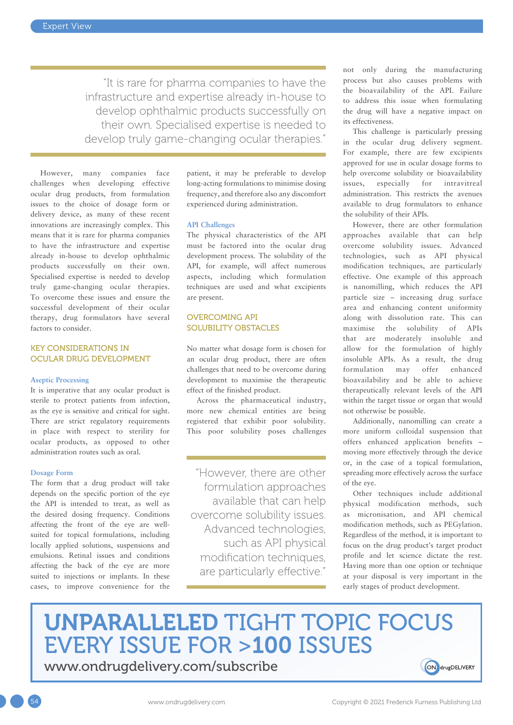"It is rare for pharma companies to have the infrastructure and expertise already in-house to develop ophthalmic products successfully on their own. Specialised expertise is needed to develop truly game-changing ocular therapies."

However, many companies face challenges when developing effective ocular drug products, from formulation issues to the choice of dosage form or delivery device, as many of these recent innovations are increasingly complex. This means that it is rare for pharma companies to have the infrastructure and expertise already in-house to develop ophthalmic products successfully on their own. Specialised expertise is needed to develop truly game-changing ocular therapies. To overcome these issues and ensure the successful development of their ocular therapy, drug formulators have several factors to consider.

#### KEY CONSIDERATIONS IN OCULAR DRUG DEVELOPMENT

#### **Aseptic Processing**

It is imperative that any ocular product is sterile to protect patients from infection, as the eye is sensitive and critical for sight. There are strict regulatory requirements in place with respect to sterility for ocular products, as opposed to other administration routes such as oral.

#### **Dosage Form**

The form that a drug product will take depends on the specific portion of the eye the API is intended to treat, as well as the desired dosing frequency. Conditions affecting the front of the eye are wellsuited for topical formulations, including locally applied solutions, suspensions and emulsions. Retinal issues and conditions affecting the back of the eye are more suited to injections or implants. In these cases, to improve convenience for the patient, it may be preferable to develop long-acting formulations to minimise dosing frequency, and therefore also any discomfort experienced during administration.

#### **API Challenges**

The physical characteristics of the API must be factored into the ocular drug development process. The solubility of the API, for example, will affect numerous aspects, including which formulation techniques are used and what excipients are present.

#### OVERCOMING API SOLUBILITY OBSTACLES

No matter what dosage form is chosen for an ocular drug product, there are often challenges that need to be overcome during development to maximise the therapeutic effect of the finished product.

Across the pharmaceutical industry, more new chemical entities are being registered that exhibit poor solubility. This poor solubility poses challenges

"However, there are other formulation approaches available that can help overcome solubility issues. Advanced technologies, such as API physical modification techniques, are particularly effective."

not only during the manufacturing process but also causes problems with the bioavailability of the API. Failure to address this issue when formulating the drug will have a negative impact on its effectiveness.

This challenge is particularly pressing in the ocular drug delivery segment. For example, there are few excipients approved for use in ocular dosage forms to help overcome solubility or bioavailability issues, especially for intravitreal administration. This restricts the avenues available to drug formulators to enhance the solubility of their APIs.

However, there are other formulation approaches available that can help overcome solubility issues. Advanced technologies, such as API physical modification techniques, are particularly effective. One example of this approach is nanomilling, which reduces the API particle size – increasing drug surface area and enhancing content uniformity along with dissolution rate. This can maximise the solubility of APIs that are moderately insoluble and allow for the formulation of highly insoluble APIs. As a result, the drug formulation may offer enhanced bioavailability and be able to achieve therapeutically relevant levels of the API within the target tissue or organ that would not otherwise be possible.

Additionally, nanomilling can create a more uniform colloidal suspension that offers enhanced application benefits – moving more effectively through the device or, in the case of a topical formulation, spreading more effectively across the surface of the eye.

Other techniques include additional physical modification methods, such as micronisation, and API chemical modification methods, such as PEGylation. Regardless of the method, it is important to focus on the drug product's target product profile and let science dictate the rest. Having more than one option or technique at your disposal is very important in the early stages of product development.

# UNPARALLELED TIGHT TOPIC FOCUS EVERY ISSUE FOR >100 ISSUES

[www.ondrugdelivery.com/subscribe](https://www.ondrugdelivery.com/subscribe)